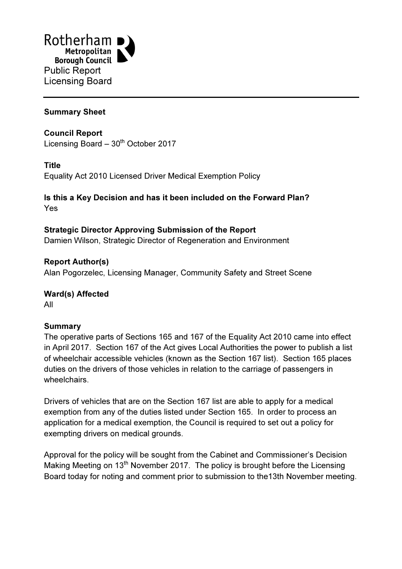

## Summary Sheet

Council Report Licensing Board  $-30<sup>th</sup>$  October 2017

#### Title

Equality Act 2010 Licensed Driver Medical Exemption Policy

## Is this a Key Decision and has it been included on the Forward Plan? Yes

# Strategic Director Approving Submission of the Report

Damien Wilson, Strategic Director of Regeneration and Environment

Report Author(s) Alan Pogorzelec, Licensing Manager, Community Safety and Street Scene

#### Ward(s) Affected All

#### Summary

The operative parts of Sections 165 and 167 of the Equality Act 2010 came into effect in April 2017. Section 167 of the Act gives Local Authorities the power to publish a list of wheelchair accessible vehicles (known as the Section 167 list). Section 165 places duties on the drivers of those vehicles in relation to the carriage of passengers in wheelchairs.

Drivers of vehicles that are on the Section 167 list are able to apply for a medical exemption from any of the duties listed under Section 165. In order to process an application for a medical exemption, the Council is required to set out a policy for exempting drivers on medical grounds.

Approval for the policy will be sought from the Cabinet and Commissioner's Decision Making Meeting on  $13<sup>th</sup>$  November 2017. The policy is brought before the Licensing Board today for noting and comment prior to submission to the13th November meeting.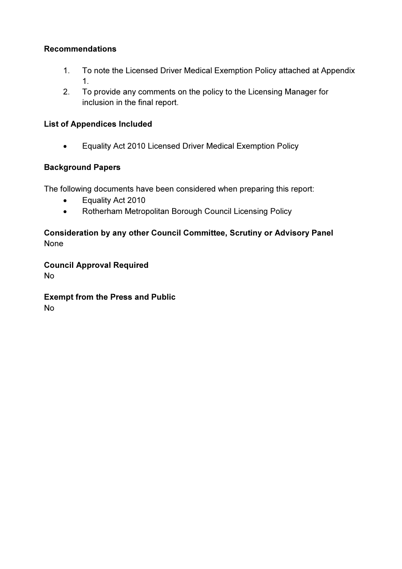## Recommendations

- 1. To note the Licensed Driver Medical Exemption Policy attached at Appendix 1.
- 2. To provide any comments on the policy to the Licensing Manager for inclusion in the final report.

## List of Appendices Included

• Equality Act 2010 Licensed Driver Medical Exemption Policy

## Background Papers

The following documents have been considered when preparing this report:

- Equality Act 2010
- Rotherham Metropolitan Borough Council Licensing Policy

## Consideration by any other Council Committee, Scrutiny or Advisory Panel None

Council Approval Required No

Exempt from the Press and Public No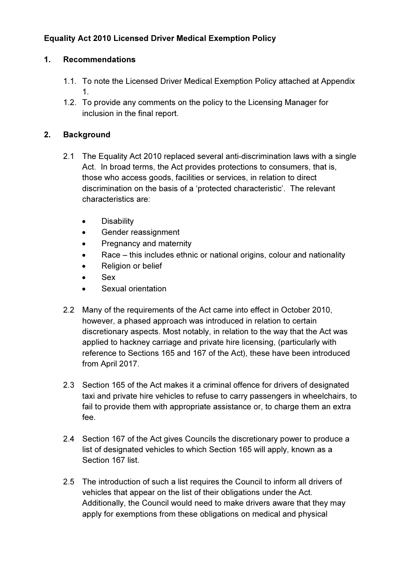# Equality Act 2010 Licensed Driver Medical Exemption Policy

## 1. Recommendations

- 1.1. To note the Licensed Driver Medical Exemption Policy attached at Appendix 1.
- 1.2. To provide any comments on the policy to the Licensing Manager for inclusion in the final report.

## 2. Background

- 2.1 The Equality Act 2010 replaced several anti-discrimination laws with a single Act. In broad terms, the Act provides protections to consumers, that is, those who access goods, facilities or services, in relation to direct discrimination on the basis of a 'protected characteristic'. The relevant characteristics are:
	- Disability
	- Gender reassignment
	- Pregnancy and maternity
	- Race this includes ethnic or national origins, colour and nationality
	- Religion or belief
	- Sex
	- Sexual orientation
- 2.2 Many of the requirements of the Act came into effect in October 2010, however, a phased approach was introduced in relation to certain discretionary aspects. Most notably, in relation to the way that the Act was applied to hackney carriage and private hire licensing, (particularly with reference to Sections 165 and 167 of the Act), these have been introduced from April 2017.
- 2.3 Section 165 of the Act makes it a criminal offence for drivers of designated taxi and private hire vehicles to refuse to carry passengers in wheelchairs, to fail to provide them with appropriate assistance or, to charge them an extra fee.
- 2.4 Section 167 of the Act gives Councils the discretionary power to produce a list of designated vehicles to which Section 165 will apply, known as a Section 167 list.
- 2.5 The introduction of such a list requires the Council to inform all drivers of vehicles that appear on the list of their obligations under the Act. Additionally, the Council would need to make drivers aware that they may apply for exemptions from these obligations on medical and physical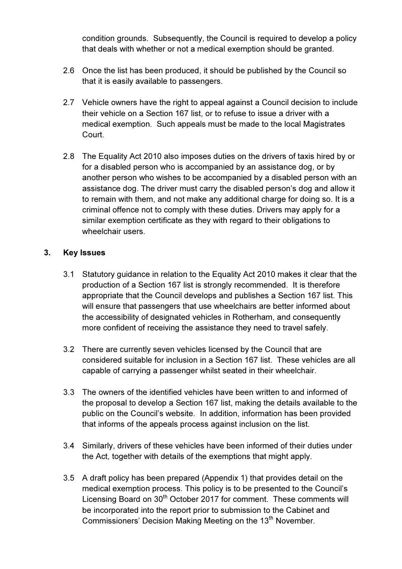condition grounds. Subsequently, the Council is required to develop a policy that deals with whether or not a medical exemption should be granted.

- 2.6 Once the list has been produced, it should be published by the Council so that it is easily available to passengers.
- 2.7 Vehicle owners have the right to appeal against a Council decision to include their vehicle on a Section 167 list, or to refuse to issue a driver with a medical exemption. Such appeals must be made to the local Magistrates Court.
- 2.8 The Equality Act 2010 also imposes duties on the drivers of taxis hired by or for a disabled person who is accompanied by an assistance dog, or by another person who wishes to be accompanied by a disabled person with an assistance dog. The driver must carry the disabled person's dog and allow it to remain with them, and not make any additional charge for doing so. It is a criminal offence not to comply with these duties. Drivers may apply for a similar exemption certificate as they with regard to their obligations to wheelchair users.

#### 3. Key Issues

- 3.1 Statutory guidance in relation to the Equality Act 2010 makes it clear that the production of a Section 167 list is strongly recommended. It is therefore appropriate that the Council develops and publishes a Section 167 list. This will ensure that passengers that use wheelchairs are better informed about the accessibility of designated vehicles in Rotherham, and consequently more confident of receiving the assistance they need to travel safely.
- 3.2 There are currently seven vehicles licensed by the Council that are considered suitable for inclusion in a Section 167 list. These vehicles are all capable of carrying a passenger whilst seated in their wheelchair.
- 3.3 The owners of the identified vehicles have been written to and informed of the proposal to develop a Section 167 list, making the details available to the public on the Council's website. In addition, information has been provided that informs of the appeals process against inclusion on the list.
- 3.4 Similarly, drivers of these vehicles have been informed of their duties under the Act, together with details of the exemptions that might apply.
- 3.5 A draft policy has been prepared (Appendix 1) that provides detail on the medical exemption process. This policy is to be presented to the Council's Licensing Board on 30<sup>th</sup> October 2017 for comment. These comments will be incorporated into the report prior to submission to the Cabinet and Commissioners' Decision Making Meeting on the 13<sup>th</sup> November.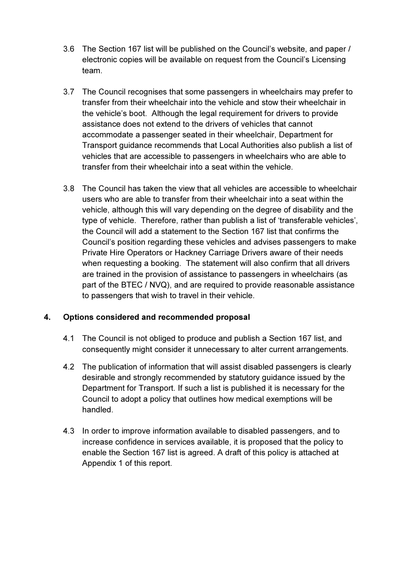- 3.6 The Section 167 list will be published on the Council's website, and paper / electronic copies will be available on request from the Council's Licensing team.
- 3.7 The Council recognises that some passengers in wheelchairs may prefer to transfer from their wheelchair into the vehicle and stow their wheelchair in the vehicle's boot. Although the legal requirement for drivers to provide assistance does not extend to the drivers of vehicles that cannot accommodate a passenger seated in their wheelchair, Department for Transport guidance recommends that Local Authorities also publish a list of vehicles that are accessible to passengers in wheelchairs who are able to transfer from their wheelchair into a seat within the vehicle.
- 3.8 The Council has taken the view that all vehicles are accessible to wheelchair users who are able to transfer from their wheelchair into a seat within the vehicle, although this will vary depending on the degree of disability and the type of vehicle. Therefore, rather than publish a list of 'transferable vehicles', the Council will add a statement to the Section 167 list that confirms the Council's position regarding these vehicles and advises passengers to make Private Hire Operators or Hackney Carriage Drivers aware of their needs when requesting a booking. The statement will also confirm that all drivers are trained in the provision of assistance to passengers in wheelchairs (as part of the BTEC / NVQ), and are required to provide reasonable assistance to passengers that wish to travel in their vehicle.

#### 4. Options considered and recommended proposal

- 4.1 The Council is not obliged to produce and publish a Section 167 list, and consequently might consider it unnecessary to alter current arrangements.
- 4.2 The publication of information that will assist disabled passengers is clearly desirable and strongly recommended by statutory guidance issued by the Department for Transport. If such a list is published it is necessary for the Council to adopt a policy that outlines how medical exemptions will be handled.
- 4.3 In order to improve information available to disabled passengers, and to increase confidence in services available, it is proposed that the policy to enable the Section 167 list is agreed. A draft of this policy is attached at Appendix 1 of this report.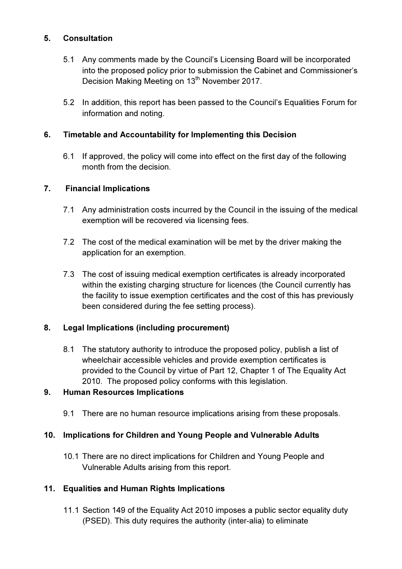### 5. Consultation

- 5.1 Any comments made by the Council's Licensing Board will be incorporated into the proposed policy prior to submission the Cabinet and Commissioner's Decision Making Meeting on 13<sup>th</sup> November 2017.
- 5.2 In addition, this report has been passed to the Council's Equalities Forum for information and noting.

## 6. Timetable and Accountability for Implementing this Decision

6.1 If approved, the policy will come into effect on the first day of the following month from the decision.

#### 7. Financial Implications

- 7.1 Any administration costs incurred by the Council in the issuing of the medical exemption will be recovered via licensing fees.
- 7.2 The cost of the medical examination will be met by the driver making the application for an exemption.
- 7.3 The cost of issuing medical exemption certificates is already incorporated within the existing charging structure for licences (the Council currently has the facility to issue exemption certificates and the cost of this has previously been considered during the fee setting process).

#### 8. Legal Implications (including procurement)

8.1 The statutory authority to introduce the proposed policy, publish a list of wheelchair accessible vehicles and provide exemption certificates is provided to the Council by virtue of Part 12, Chapter 1 of The Equality Act 2010. The proposed policy conforms with this legislation.

#### 9. Human Resources Implications

9.1 There are no human resource implications arising from these proposals.

#### 10. Implications for Children and Young People and Vulnerable Adults

10.1 There are no direct implications for Children and Young People and Vulnerable Adults arising from this report.

#### 11. Equalities and Human Rights Implications

11.1 Section 149 of the Equality Act 2010 imposes a public sector equality duty (PSED). This duty requires the authority (inter-alia) to eliminate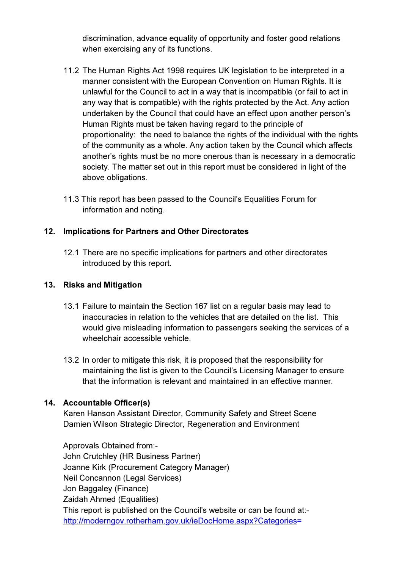discrimination, advance equality of opportunity and foster good relations when exercising any of its functions.

- 11.2 The Human Rights Act 1998 requires UK legislation to be interpreted in a manner consistent with the European Convention on Human Rights. It is unlawful for the Council to act in a way that is incompatible (or fail to act in any way that is compatible) with the rights protected by the Act. Any action undertaken by the Council that could have an effect upon another person's Human Rights must be taken having regard to the principle of proportionality: the need to balance the rights of the individual with the rights of the community as a whole. Any action taken by the Council which affects another's rights must be no more onerous than is necessary in a democratic society. The matter set out in this report must be considered in light of the above obligations.
- 11.3 This report has been passed to the Council's Equalities Forum for information and noting.

## 12. Implications for Partners and Other Directorates

12.1 There are no specific implications for partners and other directorates introduced by this report.

#### 13. Risks and Mitigation

- 13.1 Failure to maintain the Section 167 list on a regular basis may lead to inaccuracies in relation to the vehicles that are detailed on the list. This would give misleading information to passengers seeking the services of a wheelchair accessible vehicle.
- 13.2 In order to mitigate this risk, it is proposed that the responsibility for maintaining the list is given to the Council's Licensing Manager to ensure that the information is relevant and maintained in an effective manner.

#### 14. Accountable Officer(s)

 Karen Hanson Assistant Director, Community Safety and Street Scene Damien Wilson Strategic Director, Regeneration and Environment

 Approvals Obtained from:- John Crutchley (HR Business Partner) Joanne Kirk (Procurement Category Manager) Neil Concannon (Legal Services) Jon Baggaley (Finance) Zaidah Ahmed (Equalities) This report is published on the Council's website or can be found at: http://moderngov.rotherham.gov.uk/ieDocHome.aspx?Categories=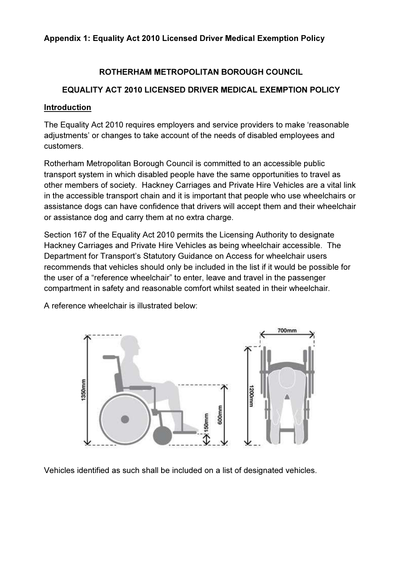#### Appendix 1: Equality Act 2010 Licensed Driver Medical Exemption Policy

## ROTHERHAM METROPOLITAN BOROUGH COUNCIL

## EQUALITY ACT 2010 LICENSED DRIVER MEDICAL EXEMPTION POLICY

#### Introduction

The Equality Act 2010 requires employers and service providers to make 'reasonable adjustments' or changes to take account of the needs of disabled employees and customers.

Rotherham Metropolitan Borough Council is committed to an accessible public transport system in which disabled people have the same opportunities to travel as other members of society. Hackney Carriages and Private Hire Vehicles are a vital link in the accessible transport chain and it is important that people who use wheelchairs or assistance dogs can have confidence that drivers will accept them and their wheelchair or assistance dog and carry them at no extra charge.

Section 167 of the Equality Act 2010 permits the Licensing Authority to designate Hackney Carriages and Private Hire Vehicles as being wheelchair accessible. The Department for Transport's Statutory Guidance on Access for wheelchair users recommends that vehicles should only be included in the list if it would be possible for the user of a "reference wheelchair" to enter, leave and travel in the passenger compartment in safety and reasonable comfort whilst seated in their wheelchair.

A reference wheelchair is illustrated below:



Vehicles identified as such shall be included on a list of designated vehicles.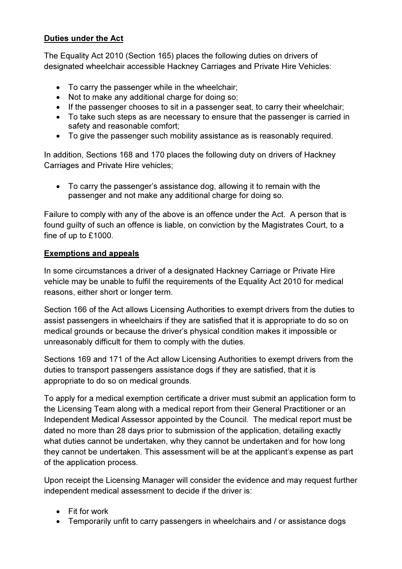# Duties under the Act

The Equality Act 2010 (Section 165) places the following duties on drivers of designated wheelchair accessible Hackney Carriages and Private Hire Vehicles:

- To carry the passenger while in the wheelchair;
- Not to make any additional charge for doing so;
- If the passenger chooses to sit in a passenger seat, to carry their wheelchair;
- To take such steps as are necessary to ensure that the passenger is carried in safety and reasonable comfort;
- To give the passenger such mobility assistance as is reasonably required.

In addition, Sections 168 and 170 places the following duty on drivers of Hackney Carriages and Private Hire vehicles;

• To carry the passenger's assistance dog, allowing it to remain with the passenger and not make any additional charge for doing so.

Failure to comply with any of the above is an offence under the Act. A person that is found guilty of such an offence is liable, on conviction by the Magistrates Court, to a fine of up to £1000.

#### Exemptions and appeals

In some circumstances a driver of a designated Hackney Carriage or Private Hire vehicle may be unable to fulfil the requirements of the Equality Act 2010 for medical reasons, either short or longer term.

Section 166 of the Act allows Licensing Authorities to exempt drivers from the duties to assist passengers in wheelchairs if they are satisfied that it is appropriate to do so on medical grounds or because the driver's physical condition makes it impossible or unreasonably difficult for them to comply with the duties.

Sections 169 and 171 of the Act allow Licensing Authorities to exempt drivers from the duties to transport passengers assistance dogs if they are satisfied, that it is appropriate to do so on medical grounds.

To apply for a medical exemption certificate a driver must submit an application form to the Licensing Team along with a medical report from their General Practitioner or an Independent Medical Assessor appointed by the Council. The medical report must be dated no more than 28 days prior to submission of the application, detailing exactly what duties cannot be undertaken, why they cannot be undertaken and for how long they cannot be undertaken. This assessment will be at the applicant's expense as part of the application process.

Upon receipt the Licensing Manager will consider the evidence and may request further independent medical assessment to decide if the driver is:

- Fit for work
- Temporarily unfit to carry passengers in wheelchairs and / or assistance dogs